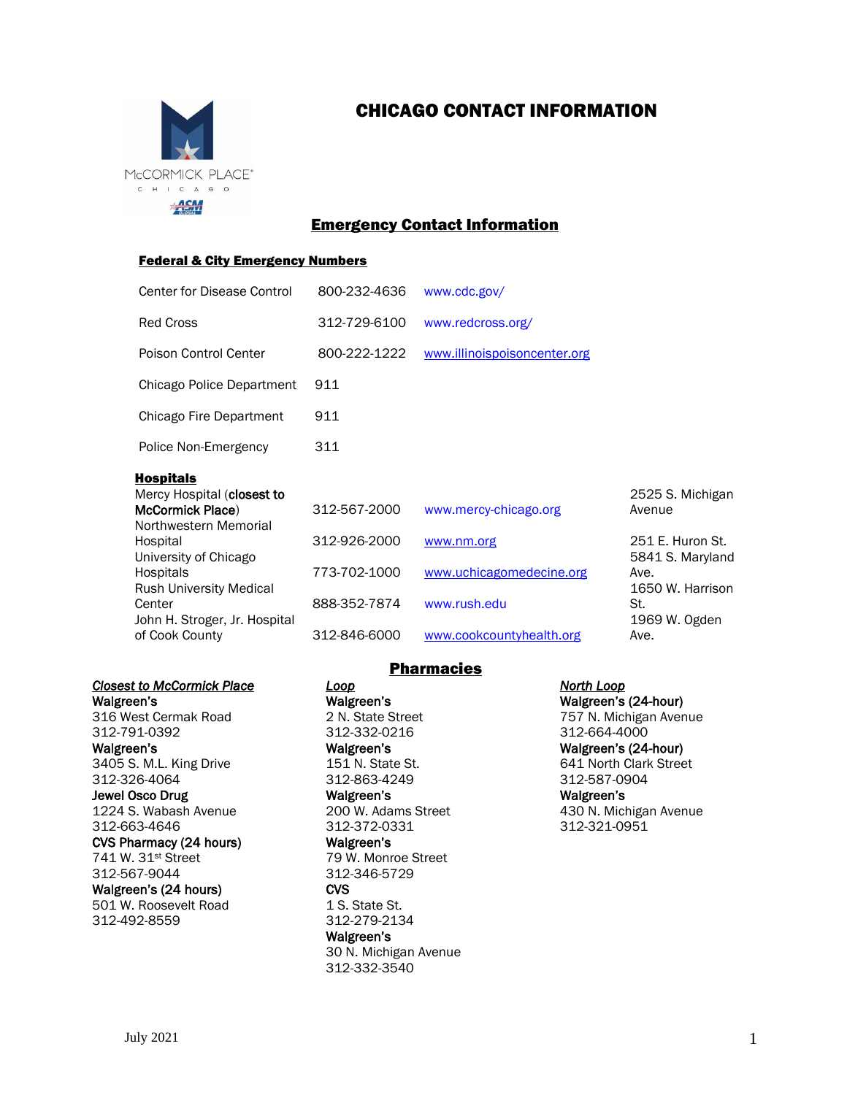

# CHICAGO CONTACT INFORMATION

# Emergency Contact Information

#### **Federal & City Emergency Numbers**

| <b>Center for Disease Control</b>                                                                                                                                                                                                                    | 800-232-4636                                                                 | www.cdc.gov/                                                                                                |                                                                                                                                |
|------------------------------------------------------------------------------------------------------------------------------------------------------------------------------------------------------------------------------------------------------|------------------------------------------------------------------------------|-------------------------------------------------------------------------------------------------------------|--------------------------------------------------------------------------------------------------------------------------------|
| <b>Red Cross</b>                                                                                                                                                                                                                                     | 312-729-6100                                                                 | www.redcross.org/                                                                                           |                                                                                                                                |
| Poison Control Center                                                                                                                                                                                                                                | 800-222-1222                                                                 | www.illinoispoisoncenter.org                                                                                |                                                                                                                                |
| Chicago Police Department                                                                                                                                                                                                                            | 911                                                                          |                                                                                                             |                                                                                                                                |
| Chicago Fire Department                                                                                                                                                                                                                              | 911                                                                          |                                                                                                             |                                                                                                                                |
| Police Non-Emergency                                                                                                                                                                                                                                 | 311                                                                          |                                                                                                             |                                                                                                                                |
| <b>Hospitals</b><br>Mercy Hospital (closest to<br><b>McCormick Place</b> )<br>Northwestern Memorial<br>Hospital<br>University of Chicago<br>Hospitals<br><b>Rush University Medical</b><br>Center<br>John H. Stroger, Jr. Hospital<br>of Cook County | 312-567-2000<br>312-926-2000<br>773-702-1000<br>888-352-7874<br>312-846-6000 | www.mercy-chicago.org<br>www.nm.org<br>www.uchicagomedecine.org<br>www.rush.edu<br>www.cookcountyhealth.org | 2525 S. Michigan<br>Avenue<br>251 E. Huron St.<br>5841 S. Maryland<br>Ave.<br>1650 W. Harrison<br>St.<br>1969 W. Ogden<br>Ave. |

### *Closest to McCormick Place* Walgreen's

316 West Cermak Road 312-791-0392

Walgreen's 3405 S. M.L. King Drive 312-326-4064

#### Jewel Osco Drug 1224 S. Wabash Avenue

312-663-4646

CVS Pharmacy (24 hours) 741 W. 31st Street 312-567-9044

Walgreen's (24 hours) 501 W. Roosevelt Road

312-492-8559

### **Pharmacies**

*Loop*  Walgreen's 2 N. State Street 312-332-0216 Walgreen's 151 N. State St.

312-863-4249 Walgreen's 200 W. Adams Street

312-372-0331 Walgreen's

79 W. Monroe Street 312-346-5729 **CVS** 

1 S. State St. 312-279-2134 Walgreen's

30 N. Michigan Avenue 312-332-3540

*North Loop* 

Walgreen's (24-hour) 757 N. Michigan Avenue 312-664-4000 Walgreen's (24-hour)

641 North Clark Street 312-587-0904

Walgreen's 430 N. Michigan Avenue 312-321-0951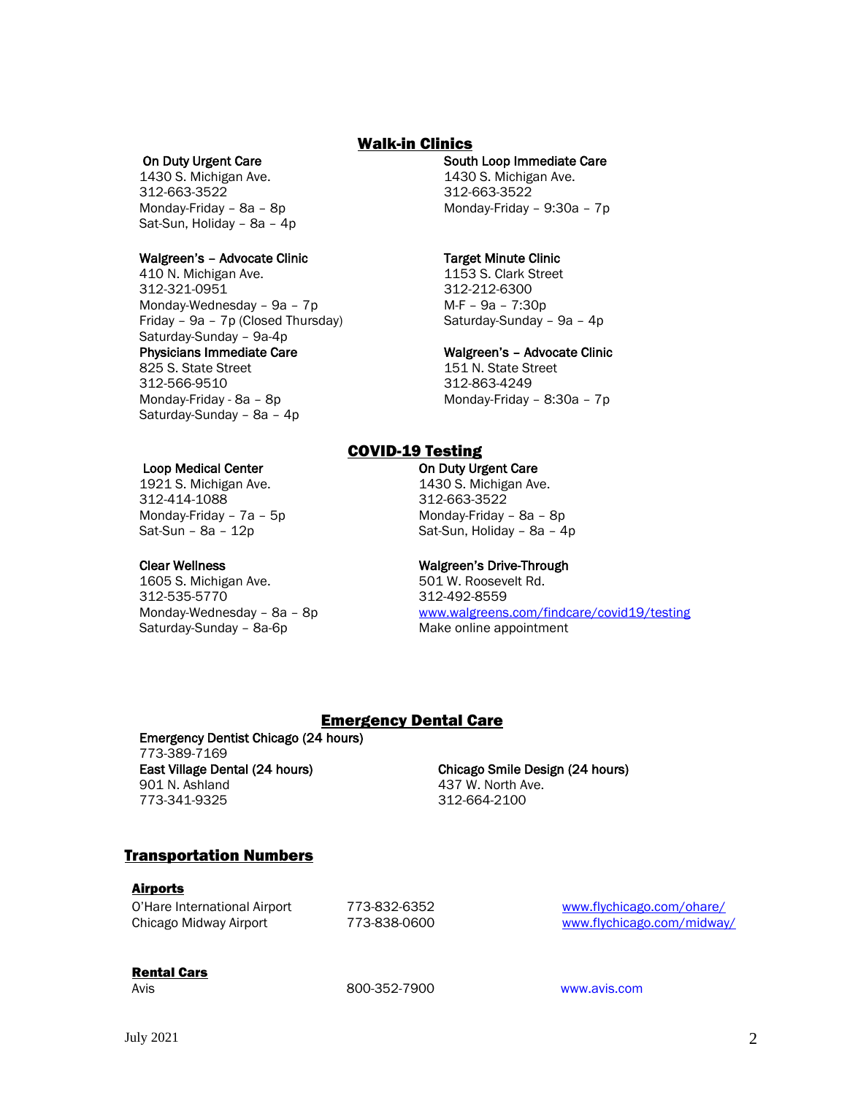### Walk-in Clinics

#### On Duty Urgent Care

1430 S. Michigan Ave. 312-663-3522 Monday-Friday – 8a – 8p Sat-Sun, Holiday – 8a – 4p

#### Walgreen's – Advocate Clinic

410 N. Michigan Ave. 312-321-0951 Monday-Wednesday – 9a – 7p Friday – 9a – 7p (Closed Thursday) Saturday-Sunday – 9a-4p Physicians Immediate Care 825 S. State Street 312-566-9510 Monday-Friday - 8a – 8p Saturday-Sunday – 8a – 4p

#### Loop Medical Center

1921 S. Michigan Ave. 312-414-1088 Monday-Friday – 7a – 5p Sat-Sun – 8a – 12p

#### Clear Wellness

1605 S. Michigan Ave. 312-535-5770 Monday-Wednesday – 8a – 8p Saturday-Sunday – 8a-6p

### South Loop Immediate Care

1430 S. Michigan Ave. 312-663-3522 Monday-Friday – 9:30a – 7p

### Target Minute Clinic

1153 S. Clark Street 312-212-6300 M-F – 9a – 7:30p Saturday-Sunday – 9a – 4p

#### Walgreen's – Advocate Clinic

151 N. State Street 312-863-4249 Monday-Friday – 8:30a – 7p

### COVID-19 Testing

On Duty Urgent Care

1430 S. Michigan Ave. 312-663-3522 Monday-Friday – 8a – 8p Sat-Sun, Holiday – 8a – 4p

#### Walgreen's Drive-Through

501 W. Roosevelt Rd. 312-492-8559 <www.walgreens.com/findcare/covid19/testing> Make online appointment

### Emergency Dental Care

Emergency Dentist Chicago (24 hours) 773-389-7169 East Village Dental (24 hours) 901 N. Ashland 773-341-9325

Chicago Smile Design (24 hours) 437 W. North Ave. 312-664-2100

### Transportation Numbers

### Airports

| O'Hare International Airport | 773-832 |
|------------------------------|---------|
| Chicago Midway Airport       | 773-838 |

Other International Airport 773-8352 [www.flychicago.com/ohare/](http://www.flychicago.com/ohare/) 8-0600 [www.flychicago.com/midway/](http://www.flychicago.com/midway/)

### Rental Cars

Avis 800-352-7900 [www.avis.com](http://www.avis.com/)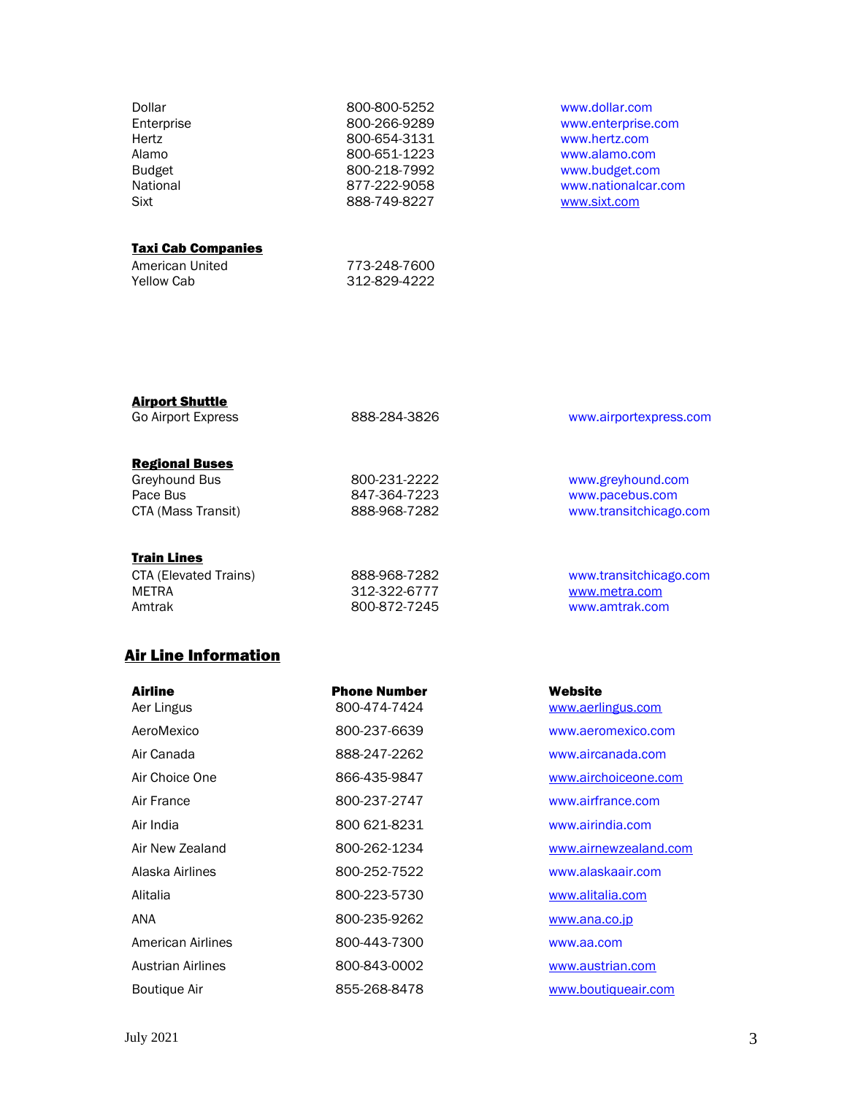| Dollar<br>Enterprise<br>Hertz<br>Alamo<br><b>Budget</b><br>National | 800-800-5252<br>800-266-9289<br>800-654-3131<br>800-651-1223<br>800-218-7992<br>877-222-9058 | www.dollar.com<br>www.enterprise.com<br>www.hertz.com<br>www.alamo.com<br>www.budget.com<br>www.nationalcar.com |
|---------------------------------------------------------------------|----------------------------------------------------------------------------------------------|-----------------------------------------------------------------------------------------------------------------|
| Sixt                                                                | 888-749-8227                                                                                 | www.sixt.com                                                                                                    |
| <b>Taxi Cab Companies</b>                                           |                                                                                              |                                                                                                                 |

773-248-7600 312-829-4222

| <b>Airport Shuttle</b><br><b>Go Airport Express</b>                             | 888-284-3826                                 | www.airportexpress.com                                         |
|---------------------------------------------------------------------------------|----------------------------------------------|----------------------------------------------------------------|
| <b>Regional Buses</b><br><b>Greyhound Bus</b><br>Pace Bus<br>CTA (Mass Transit) | 800-231-2222<br>847-364-7223<br>888-968-7282 | www.greyhound.com<br>www.pacebus.com<br>www.transitchicago.com |
| Train Lines                                                                     |                                              |                                                                |

| CTA (Elevated Trains) | 888-968-7282 | www.transitchicago.com |
|-----------------------|--------------|------------------------|
| METRA                 | 312-322-6777 | www.metra.com          |
| Amtrak                | 800-872-7245 | www.amtrak.com         |
|                       |              |                        |

# Air Line Information

American United Yellow Cab

| <b>Airline</b><br>Aer Lingus | <b>Phone Number</b><br>800-474-7424 | Website<br>www.aerlingus.com |
|------------------------------|-------------------------------------|------------------------------|
| AeroMexico                   | 800-237-6639                        | www.aeromexico.com           |
| Air Canada                   | 888-247-2262                        | www.aircanada.com            |
| Air Choice One               | 866-435-9847                        | www.airchoiceone.com         |
| Air France                   | 800-237-2747                        | www.airfrance.com            |
| Air India                    | 800 621-8231                        | www.airindia.com             |
| Air New Zealand              | 800-262-1234                        | www.airnewzealand.com        |
| Alaska Airlines              | 800-252-7522                        | www.alaskaair.com            |
| Alitalia                     | 800-223-5730                        | www.alitalia.com             |
| ANA                          | 800-235-9262                        | www.ana.co.jp                |
| American Airlines            | 800-443-7300                        | www.aa.com                   |
| Austrian Airlines            | 800-843-0002                        | www.austrian.com             |
| <b>Boutique Air</b>          | 855-268-8478                        | www.boutiqueair.com          |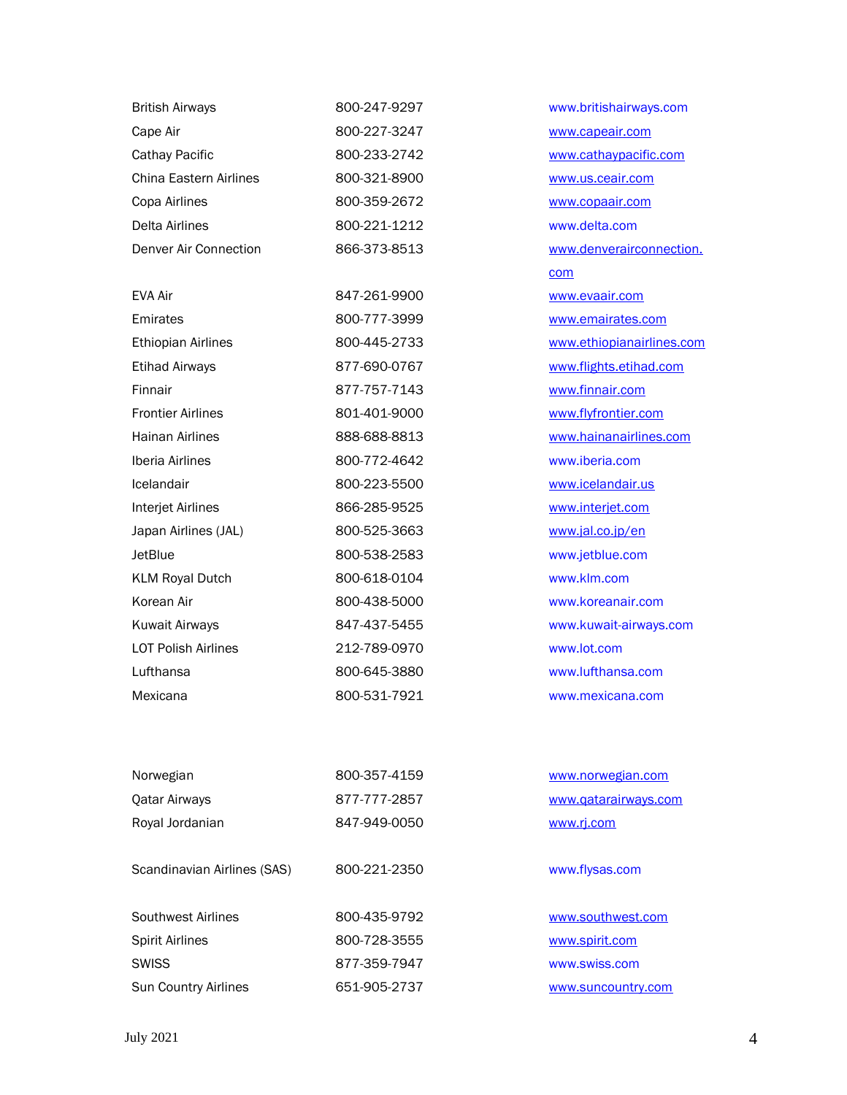| <b>British Airways</b>      | 800-247-9297 | www.britishairways.com    |
|-----------------------------|--------------|---------------------------|
| Cape Air                    | 800-227-3247 | www.capeair.com           |
| Cathay Pacific              | 800-233-2742 | www.cathaypacific.com     |
| China Eastern Airlines      | 800-321-8900 | www.us.ceair.com          |
| Copa Airlines               | 800-359-2672 | www.copaair.com           |
| Delta Airlines              | 800-221-1212 | www.delta.com             |
| Denver Air Connection       | 866-373-8513 | www.denverairconnection.  |
|                             |              | com                       |
| EVA Air                     | 847-261-9900 | www.evaair.com            |
| Emirates                    | 800-777-3999 | www.emairates.com         |
| <b>Ethiopian Airlines</b>   | 800-445-2733 | www.ethiopianairlines.com |
| <b>Etihad Airways</b>       | 877-690-0767 | www.flights.etihad.com    |
| Finnair                     | 877-757-7143 | www.finnair.com           |
| <b>Frontier Airlines</b>    | 801-401-9000 | www.flyfrontier.com       |
| <b>Hainan Airlines</b>      | 888-688-8813 | www.hainanairlines.com    |
| Iberia Airlines             | 800-772-4642 | www.iberia.com            |
| Icelandair                  | 800-223-5500 | www.icelandair.us         |
| Interjet Airlines           | 866-285-9525 | www.interjet.com          |
| Japan Airlines (JAL)        | 800-525-3663 | www.jal.co.jp/en          |
| <b>JetBlue</b>              | 800-538-2583 | www.jetblue.com           |
| <b>KLM Royal Dutch</b>      | 800-618-0104 | www.klm.com               |
| Korean Air                  | 800-438-5000 | www.koreanair.com         |
| <b>Kuwait Airways</b>       | 847-437-5455 | www.kuwait-airways.com    |
| <b>LOT Polish Airlines</b>  | 212-789-0970 | www.lot.com               |
| Lufthansa                   | 800-645-3880 | www.lufthansa.com         |
| Mexicana                    | 800-531-7921 | www.mexicana.com          |
|                             |              |                           |
| Norwegian                   | 800-357-4159 | www.norwegian.com         |
| <b>Qatar Airways</b>        | 877-777-2857 | www.qatarairways.com      |
| Royal Jordanian             | 847-949-0050 | www.rj.com                |
| Scandinavian Airlines (SAS) | 800-221-2350 | www.flysas.com            |
| Southwest Airlines          | 800-435-9792 | www.southwest.com         |
| <b>Spirit Airlines</b>      | 800-728-3555 | www.spirit.com            |
| <b>SWISS</b>                | 877-359-7947 | www.swiss.com             |
| Sun Country Airlines        | 651-905-2737 | www.suncountry.com        |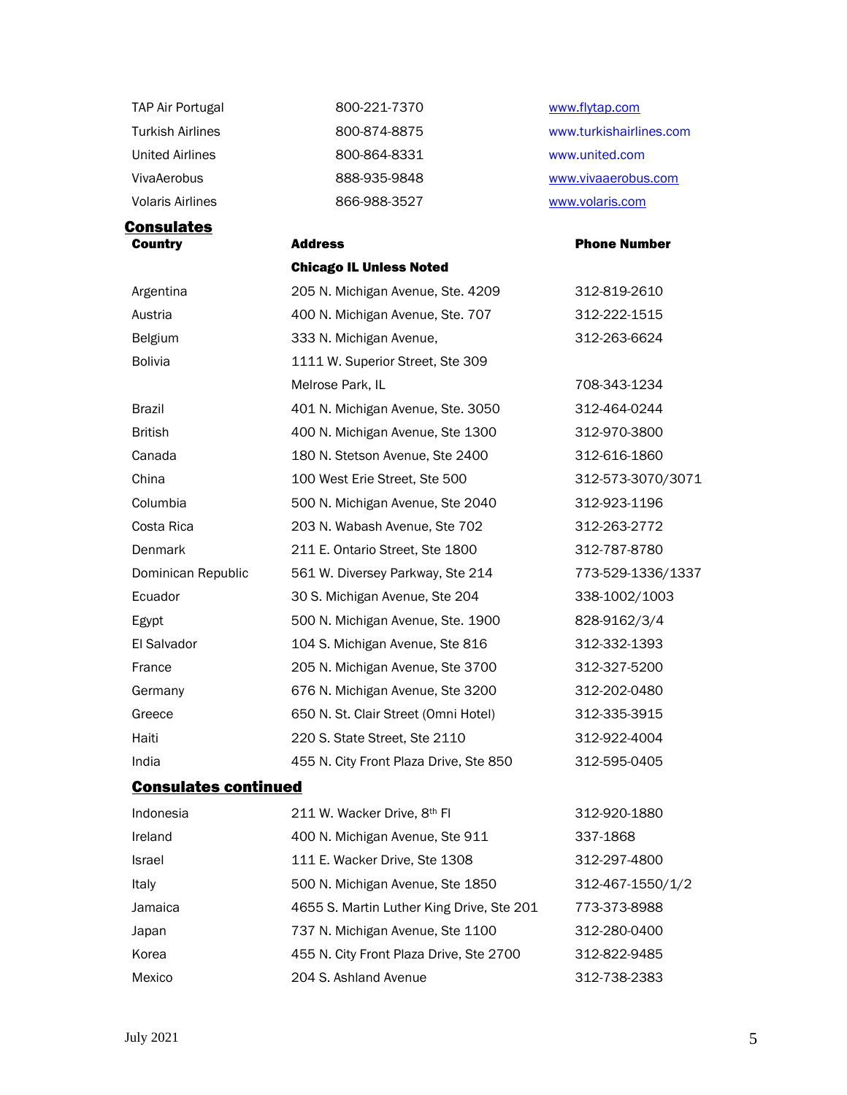| TAP Air Portugal        | 800-221-7370 | www.flytap.com          |
|-------------------------|--------------|-------------------------|
| <b>Turkish Airlines</b> | 800-874-8875 | www.turkishairlines.com |
| <b>United Airlines</b>  | 800-864-8331 | www.united.com          |
| <b>VivaAerobus</b>      | 888-935-9848 | www.vivaaerobus.com     |
| <b>Volaris Airlines</b> | 866-988-3527 | www.volaris.com         |
|                         |              |                         |

**Consulates** Country Address

### Chicago IL Unless Noted

| Argentina          | 205 N. Michigan Avenue, Ste. 4209      | 312-819-2610      |
|--------------------|----------------------------------------|-------------------|
| Austria            | 400 N. Michigan Avenue, Ste. 707       | 312-222-1515      |
| Belgium            | 333 N. Michigan Avenue,                | 312-263-6624      |
| <b>Bolivia</b>     | 1111 W. Superior Street, Ste 309       |                   |
|                    | Melrose Park, IL                       | 708-343-1234      |
| Brazil             | 401 N. Michigan Avenue, Ste. 3050      | 312-464-0244      |
| British            | 400 N. Michigan Avenue, Ste 1300       | 312-970-3800      |
| Canada             | 180 N. Stetson Avenue, Ste 2400        | 312-616-1860      |
| China              | 100 West Erie Street, Ste 500          | 312-573-3070/3071 |
| Columbia           | 500 N. Michigan Avenue, Ste 2040       | 312-923-1196      |
| Costa Rica         | 203 N. Wabash Avenue, Ste 702          | 312-263-2772      |
| Denmark            | 211 E. Ontario Street, Ste 1800        | 312-787-8780      |
| Dominican Republic | 561 W. Diversey Parkway, Ste 214       | 773-529-1336/1337 |
| Ecuador            | 30 S. Michigan Avenue, Ste 204         | 338-1002/1003     |
| Egypt              | 500 N. Michigan Avenue, Ste. 1900      | 828-9162/3/4      |
| El Salvador        | 104 S. Michigan Avenue, Ste 816        | 312-332-1393      |
| France             | 205 N. Michigan Avenue, Ste 3700       | 312-327-5200      |
| Germany            | 676 N. Michigan Avenue, Ste 3200       | 312-202-0480      |
| Greece             | 650 N. St. Clair Street (Omni Hotel)   | 312-335-3915      |
| Haiti              | 220 S. State Street, Ste 2110          | 312-922-4004      |
| India              | 455 N. City Front Plaza Drive, Ste 850 | 312-595-0405      |

### Phone Number

| Argentina                   | 205 N. Michigan Avenue, Ste. 4209         | 312-819-2610      |
|-----------------------------|-------------------------------------------|-------------------|
| Austria                     | 400 N. Michigan Avenue, Ste. 707          | 312-222-1515      |
| Belgium                     | 333 N. Michigan Avenue,                   | 312-263-6624      |
| <b>Bolivia</b>              | 1111 W. Superior Street, Ste 309          |                   |
|                             | Melrose Park, IL                          | 708-343-1234      |
| Brazil                      | 401 N. Michigan Avenue, Ste. 3050         | 312-464-0244      |
| <b>British</b>              | 400 N. Michigan Avenue, Ste 1300          | 312-970-3800      |
| Canada                      | 180 N. Stetson Avenue, Ste 2400           | 312-616-1860      |
| China                       | 100 West Erie Street, Ste 500             | 312-573-3070/3071 |
| Columbia                    | 500 N. Michigan Avenue, Ste 2040          | 312-923-1196      |
| Costa Rica                  | 203 N. Wabash Avenue, Ste 702             | 312-263-2772      |
| Denmark                     | 211 E. Ontario Street, Ste 1800           | 312-787-8780      |
| Dominican Republic          | 561 W. Diversey Parkway, Ste 214          | 773-529-1336/1337 |
| Ecuador                     | 30 S. Michigan Avenue, Ste 204            | 338-1002/1003     |
| Egypt                       | 500 N. Michigan Avenue, Ste. 1900         | 828-9162/3/4      |
| El Salvador                 | 104 S. Michigan Avenue, Ste 816           | 312-332-1393      |
| France                      | 205 N. Michigan Avenue, Ste 3700          | 312-327-5200      |
| Germany                     | 676 N. Michigan Avenue, Ste 3200          | 312-202-0480      |
| Greece                      | 650 N. St. Clair Street (Omni Hotel)      | 312-335-3915      |
| Haiti                       | 220 S. State Street, Ste 2110             | 312-922-4004      |
| India                       | 455 N. City Front Plaza Drive, Ste 850    | 312-595-0405      |
| <b>Consulates continued</b> |                                           |                   |
| Indonesia                   | 211 W. Wacker Drive, 8th Fl               | 312-920-1880      |
| Ireland                     | 400 N. Michigan Avenue, Ste 911           | 337-1868          |
| Israel                      | 111 E. Wacker Drive, Ste 1308             | 312-297-4800      |
| Italy                       | 500 N. Michigan Avenue, Ste 1850          | 312-467-1550/1/2  |
| Jamaica                     | 4655 S. Martin Luther King Drive, Ste 201 | 773-373-8988      |
| Japan                       | 737 N. Michigan Avenue, Ste 1100          | 312-280-0400      |

Korea **455 N. City Front Plaza Drive, Ste 2700** 312-822-9485 Mexico 204 S. Ashland Avenue 312-738-2383